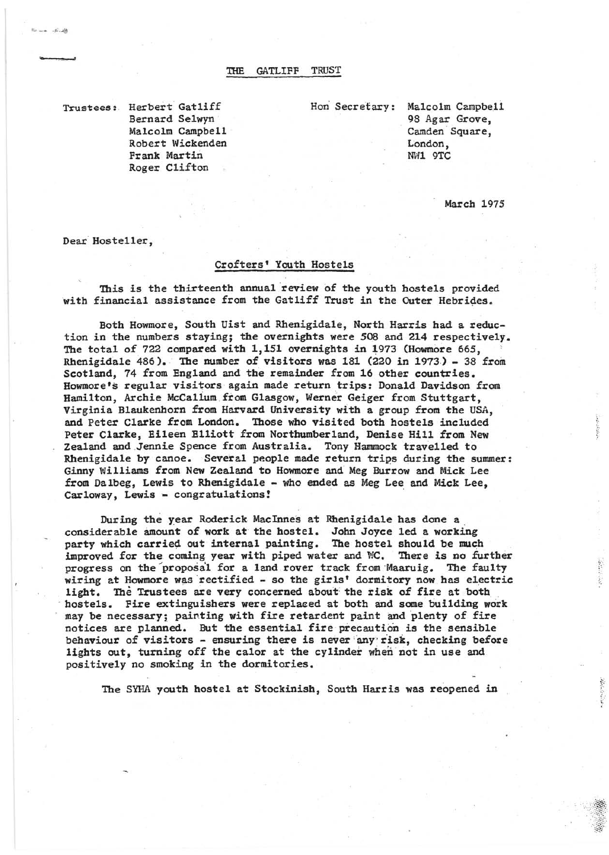Trusteee: Herbert Gatliff Bernard Selwyn Malcolm Campbell ' Robert Wickenden Frank Martin Roger Clifton

Hon Secretary: Malcolm Campbell 98 Agar Grove, Camden Square, London, NW1 9TC

March 1975

Dear Hosteller,

 $.5.16$ 

1M **J** 

## Crofters' Youth Hostels

This is the thirteenth annual review of the youth hostels provided with financial assistance from the Gatliff Trust in the Outer Hebrides.

Both Howmore, South Uist and Rhenigidale, North Harris had a reduction in the numbers staying; the overnights were 508 and 214 respectively. The total of 722 compared with 1,151 overnights in 1973 (Howmore 665, Rhenigidale 486). The number of visitors was 181 (220 in 1973) - 38 from Scotland, 74 from England and the remainder from 16 other countries. Howmore's regular visitors again made return trips: Donald Davidson from Hamilton, Archie McCallum from Glasgow, Werner Geiger from Stuttgart, Virginia Blaukenhorn from Harvard University with a group from the USA, and Peter Clarke from London. Those who visited both hostels included Peter Clarke, Eileen Elliott from Northumberland, Denise Hill from New Zealand and Jennie Spence from Australia. Tony Hammock travelled to Rhenigidale by canoe. Several people made return trips during the summer: Ginny Williams from New Zealand to Howmore and Meg Burrow and Mick Lee from Dalbeg, Lewis to Rhenigidale - who ended as Meg Lee and Mick Lee, Carloway, Lewis- congratulations! '

During the year Roderick MacInnes at Rhenigidale has done a considerable amount of work at the hostel. John Joyce led a working<br>party which carried out internal painting. The hostel should be much improved for the coming year with piped water and WC. There is no further progress on the "proposa'l for a land rover track from 'Maaruig. The faulty wiring at Howmore was rectified - so the girls' dormitory now has electric light. The Trustees are very concerned about the risk of fire at both hostels. Fire extinguishers were replaeed at both and some building work may be necessary; painting with fire retardent paint and plenty of fire notices are planned. But the essential fire precaution is the sensible behaviour of visitors - ensuring there is never any risk, checking before lights out, turning off the calor at the cylinder when not in use and positively no smoking in the dormitories.

The SYHA youth hostel at Stockinish, South Harris was reopened in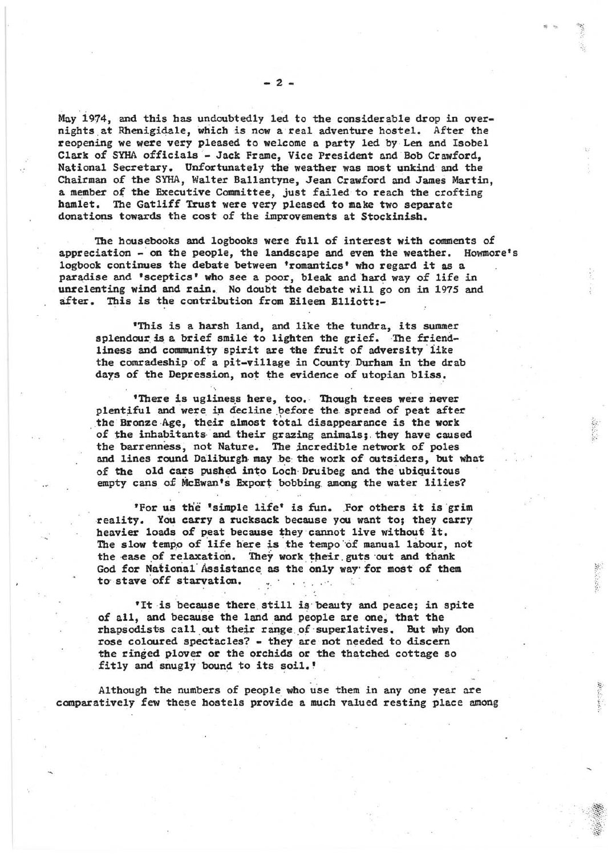May 1974, and this has undoubtedly led to the considerable drop in overnights,at Rhenigidale, which is now areal adventure hostel. After the reopening we were very pleased to welcome a party led by Len and Isobel Clark of SYHA officials- Jack Frame, Vice President and Bob Crawford, National Secretary. Unfortunately the weather was most unkind and the Chairman of the SYHA, Walter Ballantyne, Jean Crawford and James Martin, a member of the Executive Committee, just failed to reach the crofting hamlet. The Gatliff Trust were very pleased to make two separate donations towards the cost of the improvements at Stockinish.

The housebooks and logbooks were full of interest with comments of appreciation - on the people, the landscape and even the weather. Howmore's logbook continues the debate between 'romantics' who regard it as a paradise and 'sceptics' who see a poor, bleak and hard way of life in unrelenting wind and rain. No doubt the debate will go on in 1975 and after. This is the contribution from Eileen Elliott:-

'This is a harsh land, and like the tundra, its summer splendour is a, brief smile to lighten the grief. The friendliness and community spirit are the fruit of adversity like the comradeship of a pit-village in County Durham in the drab days of the Depression, not the evidence of utopian bliss.

'There is ugliness here, too. Though trees were never plentiful and were in decline before the spread of peat after the Bronze Age, their almost total disappearance is the work of the inhabitants and their grazing animals; they have caused the barrenness, not Nature. The incredible network of poles and lines round Daliburgh, maybe: the work of outsiders, but what of the old cars pushed into Loch Druibeg and the ubiquitous empty cans of McEwan's Export bobbing among the water lilies?

/'

.:.:  $~\sim$ 

'For us the 'simple life' is fun. For others it is grim reality. You carry a rucksack because you want to; they carry heavier loads of peat because they cannot live without it. The slow tempo of life here is the tempo of manual labour, not the ease of relaxation. They work their guts out and thank God for National' Assistance as the only way'for most of them to stave 'off starvation. . ' ..

'It is because there still is' beauty and peace; in spite of all, and because the land and people are one, that the rhapsodists call out their range of superlatives. But why don rose coloured spectacles? - they are not needed to discern the ringed plover or the orchids or the thatched cottage so fitly and snugly bound to its soil.'

Although the numbers of people who use them in any one year are comparatively few these hostels provide a much valued resting place among